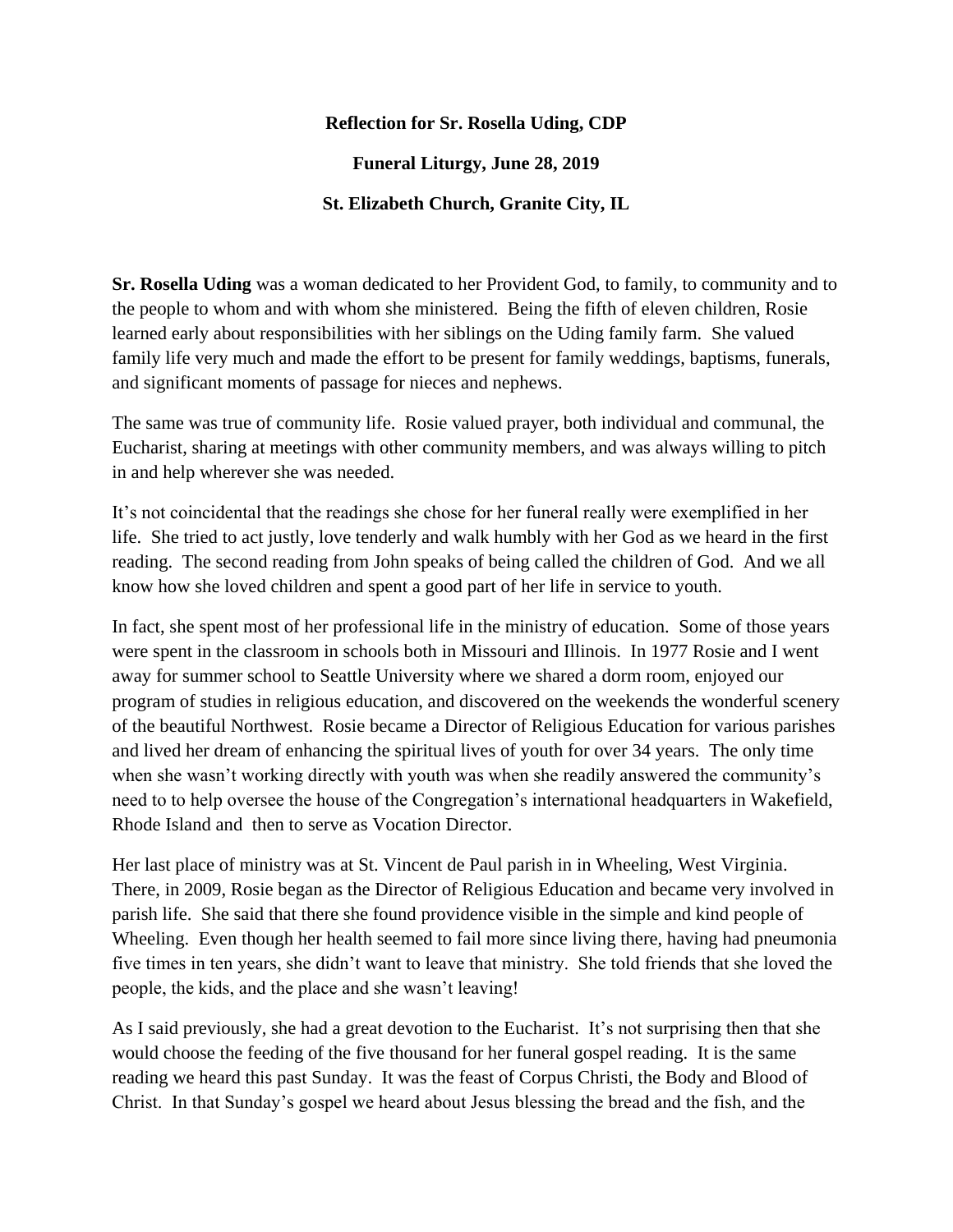## **Reflection for Sr. Rosella Uding, CDP**

**Funeral Liturgy, June 28, 2019**

## **St. Elizabeth Church, Granite City, IL**

**Sr. Rosella Uding** was a woman dedicated to her Provident God, to family, to community and to the people to whom and with whom she ministered. Being the fifth of eleven children, Rosie learned early about responsibilities with her siblings on the Uding family farm. She valued family life very much and made the effort to be present for family weddings, baptisms, funerals, and significant moments of passage for nieces and nephews.

The same was true of community life. Rosie valued prayer, both individual and communal, the Eucharist, sharing at meetings with other community members, and was always willing to pitch in and help wherever she was needed.

It's not coincidental that the readings she chose for her funeral really were exemplified in her life. She tried to act justly, love tenderly and walk humbly with her God as we heard in the first reading. The second reading from John speaks of being called the children of God. And we all know how she loved children and spent a good part of her life in service to youth.

In fact, she spent most of her professional life in the ministry of education. Some of those years were spent in the classroom in schools both in Missouri and Illinois. In 1977 Rosie and I went away for summer school to Seattle University where we shared a dorm room, enjoyed our program of studies in religious education, and discovered on the weekends the wonderful scenery of the beautiful Northwest. Rosie became a Director of Religious Education for various parishes and lived her dream of enhancing the spiritual lives of youth for over 34 years. The only time when she wasn't working directly with youth was when she readily answered the community's need to to help oversee the house of the Congregation's international headquarters in Wakefield, Rhode Island and then to serve as Vocation Director.

Her last place of ministry was at St. Vincent de Paul parish in in Wheeling, West Virginia. There, in 2009, Rosie began as the Director of Religious Education and became very involved in parish life. She said that there she found providence visible in the simple and kind people of Wheeling. Even though her health seemed to fail more since living there, having had pneumonia five times in ten years, she didn't want to leave that ministry. She told friends that she loved the people, the kids, and the place and she wasn't leaving!

As I said previously, she had a great devotion to the Eucharist. It's not surprising then that she would choose the feeding of the five thousand for her funeral gospel reading. It is the same reading we heard this past Sunday. It was the feast of Corpus Christi, the Body and Blood of Christ. In that Sunday's gospel we heard about Jesus blessing the bread and the fish, and the